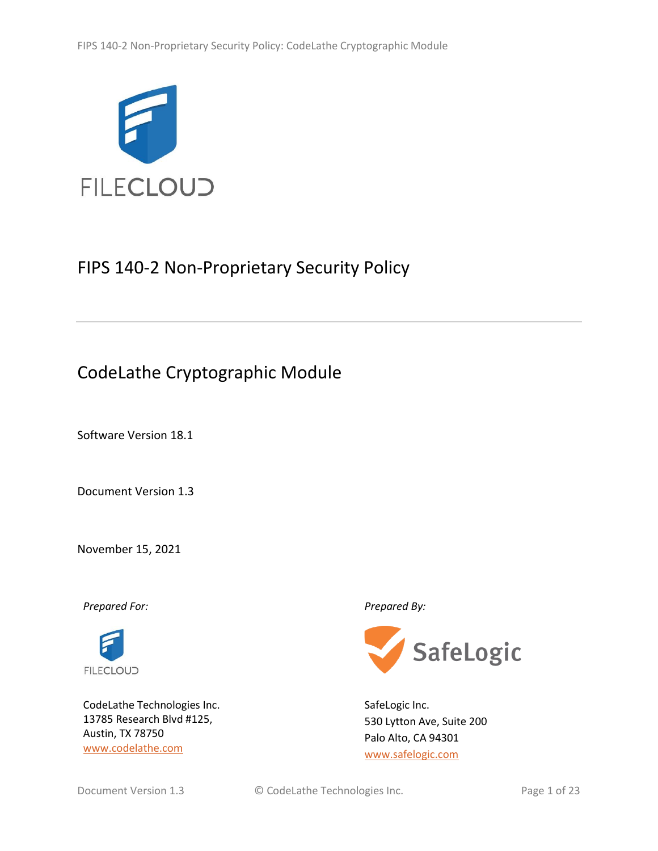

# FIPS 140-2 Non-Proprietary Security Policy

# CodeLathe Cryptographic Module

Software Version 18.1

Document Version 1.3

November 15, 2021

*Prepared For: Prepared By:*



CodeLathe Technologies Inc. 13785 Research Blvd #125, Austin, TX 78750 [www.codelathe.com](http://www.codelathe.com/)



SafeLogic Inc. 530 Lytton Ave, Suite 200 Palo Alto, CA 94301 [www.safelogic.com](http://www.safelogic.com/)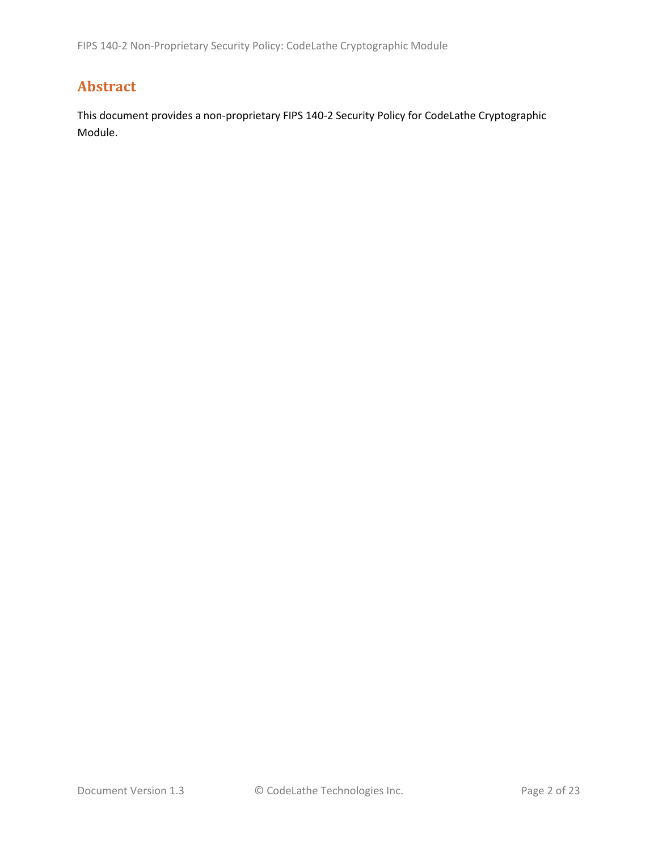# **Abstract**

This document provides a non-proprietary FIPS 140-2 Security Policy for CodeLathe Cryptographic Module.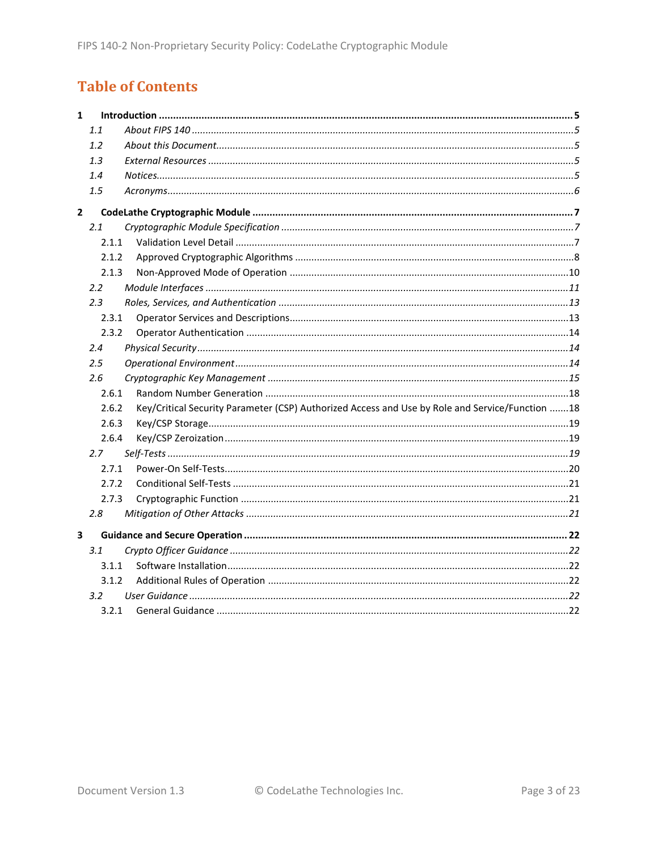# **Table of Contents**

| $\mathbf{1}$ |               |                                                                                                 |  |
|--------------|---------------|-------------------------------------------------------------------------------------------------|--|
|              | 1.1           |                                                                                                 |  |
|              | 1.2           |                                                                                                 |  |
|              | 1.3           |                                                                                                 |  |
|              | 1.4           |                                                                                                 |  |
|              | 1.5           |                                                                                                 |  |
| $\mathbf{2}$ |               |                                                                                                 |  |
|              | 2.1           |                                                                                                 |  |
|              | 2.1.1         |                                                                                                 |  |
|              | 2.1.2         |                                                                                                 |  |
|              | 2.1.3         |                                                                                                 |  |
|              | $2.2^{\circ}$ |                                                                                                 |  |
|              | 2.3           |                                                                                                 |  |
|              | 2.3.1         |                                                                                                 |  |
|              | 2.3.2         |                                                                                                 |  |
|              | 2.4           |                                                                                                 |  |
|              | $2.5\,$       |                                                                                                 |  |
|              | 2.6           |                                                                                                 |  |
|              | 2.6.1         |                                                                                                 |  |
|              | 2.6.2         | Key/Critical Security Parameter (CSP) Authorized Access and Use by Role and Service/Function 18 |  |
|              | 2.6.3         |                                                                                                 |  |
|              | 2.6.4         |                                                                                                 |  |
|              | 2.7           |                                                                                                 |  |
|              | 2.7.1         |                                                                                                 |  |
|              | 2.7.2         |                                                                                                 |  |
|              | 2.7.3         |                                                                                                 |  |
|              | 2.8           |                                                                                                 |  |
| 3            |               |                                                                                                 |  |
|              | 3.1           |                                                                                                 |  |
|              | 3.1.1         |                                                                                                 |  |
|              | 3.1.2         |                                                                                                 |  |
|              | $3.2^{\circ}$ |                                                                                                 |  |
|              | 3.2.1         |                                                                                                 |  |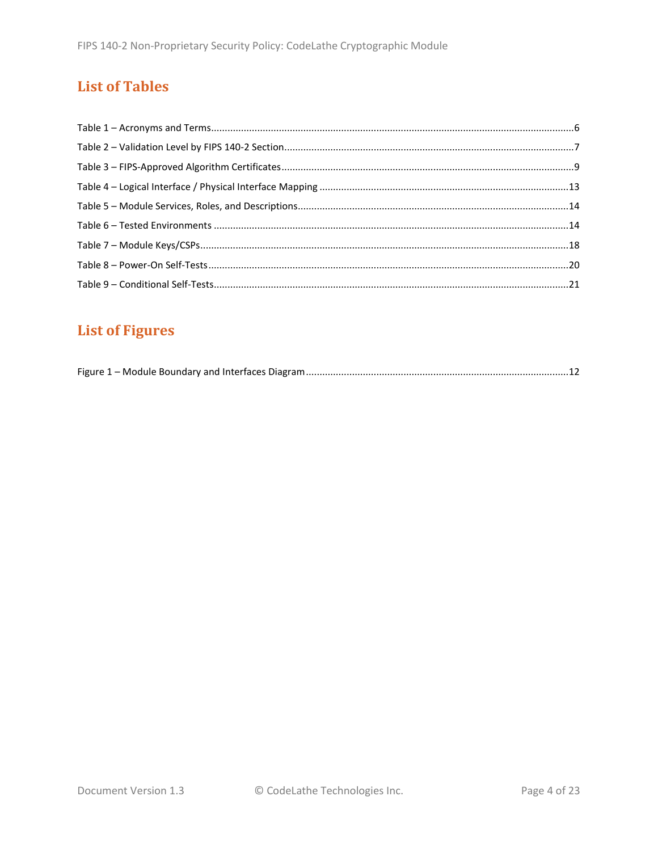# **List of Tables**

# **List of Figures**

|--|--|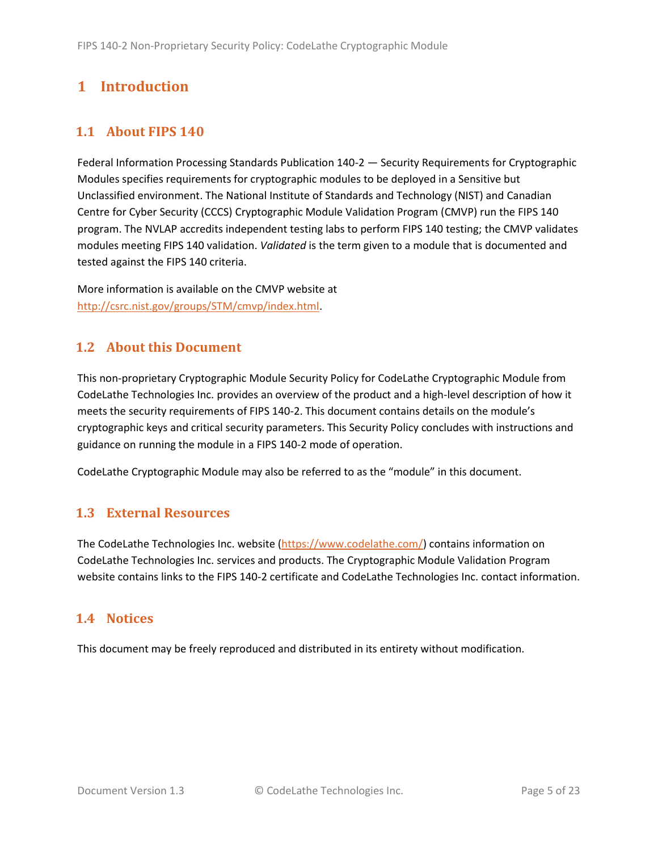# <span id="page-4-0"></span>**1 Introduction**

## <span id="page-4-1"></span>**1.1 About FIPS 140**

Federal Information Processing Standards Publication 140-2 — Security Requirements for Cryptographic Modules specifies requirements for cryptographic modules to be deployed in a Sensitive but Unclassified environment. The National Institute of Standards and Technology (NIST) and Canadian Centre for Cyber Security (CCCS) Cryptographic Module Validation Program (CMVP) run the FIPS 140 program. The NVLAP accredits independent testing labs to perform FIPS 140 testing; the CMVP validates modules meeting FIPS 140 validation. *Validated* is the term given to a module that is documented and tested against the FIPS 140 criteria.

More information is available on the CMVP website at [http://csrc.nist.gov/groups/STM/cmvp/index.html.](http://csrc.nist.gov/groups/STM/cmvp/index.html)

## <span id="page-4-2"></span>**1.2 About this Document**

This non-proprietary Cryptographic Module Security Policy for CodeLathe Cryptographic Module from CodeLathe Technologies Inc. provides an overview of the product and a high-level description of how it meets the security requirements of FIPS 140-2. This document contains details on the module's cryptographic keys and critical security parameters. This Security Policy concludes with instructions and guidance on running the module in a FIPS 140-2 mode of operation.

CodeLathe Cryptographic Module may also be referred to as the "module" in this document.

## <span id="page-4-3"></span>**1.3 External Resources**

The CodeLathe Technologies Inc. website [\(https://www.codelathe.com/\)](https://www.codelathe.com/) contains information on CodeLathe Technologies Inc. services and products. The Cryptographic Module Validation Program website contains links to the FIPS 140-2 certificate and CodeLathe Technologies Inc. contact information.

#### <span id="page-4-4"></span>**1.4 Notices**

This document may be freely reproduced and distributed in its entirety without modification.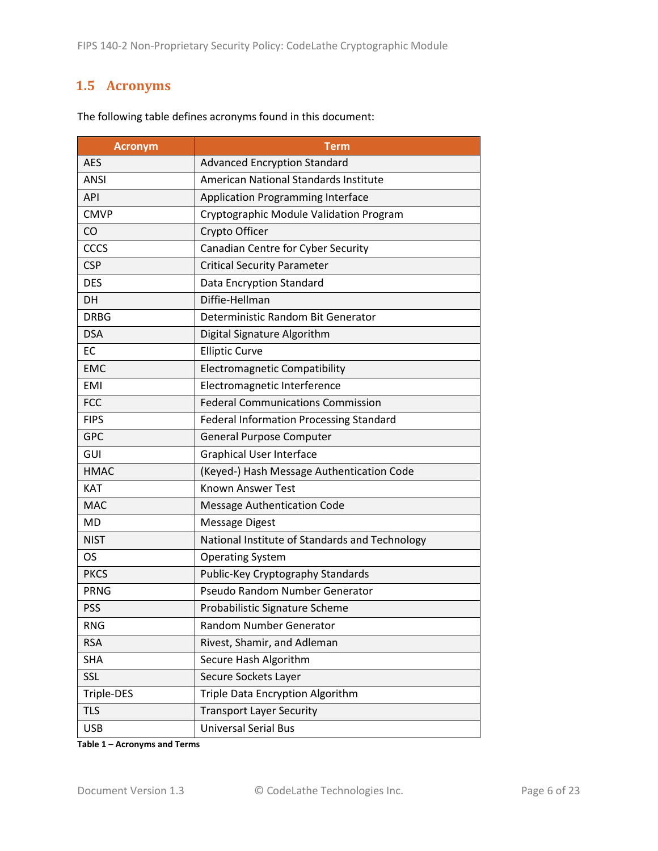# <span id="page-5-0"></span>**1.5 Acronyms**

| <b>Acronym</b>                                                | Term                                           |  |
|---------------------------------------------------------------|------------------------------------------------|--|
| <b>AES</b>                                                    | <b>Advanced Encryption Standard</b>            |  |
| <b>ANSI</b>                                                   | <b>American National Standards Institute</b>   |  |
| <b>API</b>                                                    | <b>Application Programming Interface</b>       |  |
| <b>CMVP</b>                                                   | Cryptographic Module Validation Program        |  |
| CO                                                            | Crypto Officer                                 |  |
| CCCS                                                          | Canadian Centre for Cyber Security             |  |
| <b>CSP</b>                                                    | <b>Critical Security Parameter</b>             |  |
| <b>DES</b>                                                    | Data Encryption Standard                       |  |
| <b>DH</b>                                                     | Diffie-Hellman                                 |  |
| <b>DRBG</b>                                                   | Deterministic Random Bit Generator             |  |
| <b>DSA</b>                                                    | Digital Signature Algorithm                    |  |
| <b>EC</b>                                                     | <b>Elliptic Curve</b>                          |  |
| <b>EMC</b>                                                    | <b>Electromagnetic Compatibility</b>           |  |
| <b>EMI</b>                                                    | Electromagnetic Interference                   |  |
| <b>FCC</b>                                                    | <b>Federal Communications Commission</b>       |  |
| <b>FIPS</b><br><b>Federal Information Processing Standard</b> |                                                |  |
| <b>GPC</b>                                                    | <b>General Purpose Computer</b>                |  |
| GUI                                                           | <b>Graphical User Interface</b>                |  |
| <b>HMAC</b>                                                   | (Keyed-) Hash Message Authentication Code      |  |
| <b>KAT</b>                                                    | <b>Known Answer Test</b>                       |  |
| <b>MAC</b>                                                    | <b>Message Authentication Code</b>             |  |
| <b>MD</b>                                                     | <b>Message Digest</b>                          |  |
| <b>NIST</b>                                                   | National Institute of Standards and Technology |  |
| <b>OS</b>                                                     | <b>Operating System</b>                        |  |
| <b>PKCS</b>                                                   | Public-Key Cryptography Standards              |  |
| <b>PRNG</b>                                                   | Pseudo Random Number Generator                 |  |
| <b>PSS</b>                                                    | Probabilistic Signature Scheme                 |  |
| <b>RNG</b>                                                    | Random Number Generator                        |  |
| <b>RSA</b>                                                    | Rivest, Shamir, and Adleman                    |  |
| <b>SHA</b>                                                    | Secure Hash Algorithm                          |  |
| SSL                                                           | Secure Sockets Layer                           |  |
| Triple Data Encryption Algorithm<br>Triple-DES                |                                                |  |
| <b>TLS</b>                                                    | <b>Transport Layer Security</b>                |  |
| <b>USB</b>                                                    | <b>Universal Serial Bus</b>                    |  |

The following table defines acronyms found in this document:

**Table 1 – Acronyms and Terms**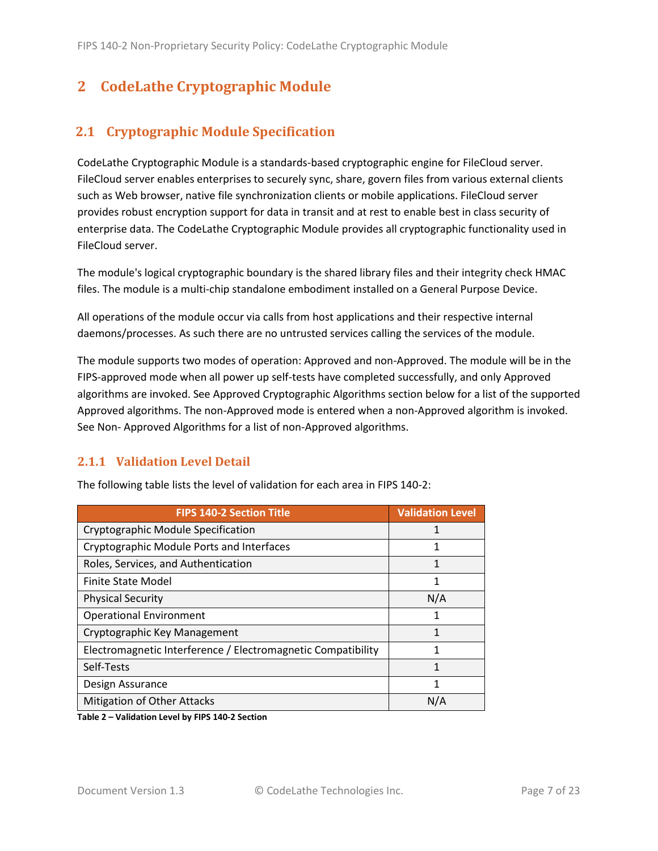# <span id="page-6-0"></span>**2 CodeLathe Cryptographic Module**

# <span id="page-6-1"></span>**2.1 Cryptographic Module Specification**

CodeLathe Cryptographic Module is a standards-based cryptographic engine for FileCloud server. FileCloud server enables enterprises to securely sync, share, govern files from various external clients such as Web browser, native file synchronization clients or mobile applications. FileCloud server provides robust encryption support for data in transit and at rest to enable best in class security of enterprise data. The CodeLathe Cryptographic Module provides all cryptographic functionality used in FileCloud server.

The module's logical cryptographic boundary is the shared library files and their integrity check HMAC files. The module is a multi-chip standalone embodiment installed on a General Purpose Device.

All operations of the module occur via calls from host applications and their respective internal daemons/processes. As such there are no untrusted services calling the services of the module.

The module supports two modes of operation: Approved and non-Approved. The module will be in the FIPS-approved mode when all power up self-tests have completed successfully, and only Approved algorithms are invoked. See Approved Cryptographic Algorithms section below for a list of the supported Approved algorithms. The non-Approved mode is entered when a non-Approved algorithm is invoked. See Non- Approved Algorithms for a list of non-Approved algorithms.

#### <span id="page-6-2"></span>**2.1.1 Validation Level Detail**

| <b>FIPS 140-2 Section Title</b>                              | <b>Validation Level</b> |
|--------------------------------------------------------------|-------------------------|
| Cryptographic Module Specification                           | 1                       |
| Cryptographic Module Ports and Interfaces                    | 1                       |
| Roles, Services, and Authentication                          | 1                       |
| Finite State Model                                           | 1                       |
| <b>Physical Security</b>                                     | N/A                     |
| <b>Operational Environment</b>                               |                         |
| Cryptographic Key Management                                 |                         |
| Electromagnetic Interference / Electromagnetic Compatibility | 1                       |
| Self-Tests                                                   | 1                       |
| Design Assurance                                             | 1                       |
| <b>Mitigation of Other Attacks</b>                           | N/A                     |
|                                                              |                         |

The following table lists the level of validation for each area in FIPS 140-2:

**Table 2 – Validation Level by FIPS 140-2 Section**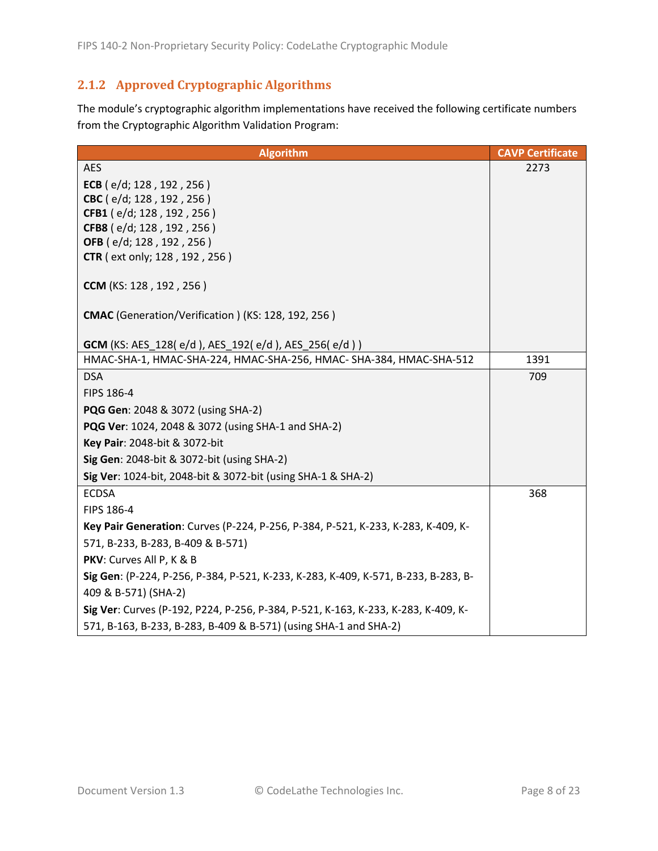# <span id="page-7-0"></span>**2.1.2 Approved Cryptographic Algorithms**

The module's cryptographic algorithm implementations have received the following certificate numbers from the Cryptographic Algorithm Validation Program:

| <b>Algorithm</b>                                                                   | <b>CAVP Certificate</b> |
|------------------------------------------------------------------------------------|-------------------------|
| <b>AES</b>                                                                         | 2273                    |
| ECB ( $e/d$ ; 128, 192, 256)                                                       |                         |
| CBC (e/d; 128, 192, 256)                                                           |                         |
| CFB1 (e/d; 128, 192, 256)                                                          |                         |
| CFB8 (e/d; 128, 192, 256)                                                          |                         |
| OFB (e/d; 128, 192, 256)<br><b>CTR</b> ( ext only; 128, 192, 256)                  |                         |
|                                                                                    |                         |
| CCM (KS: 128, 192, 256)                                                            |                         |
| CMAC (Generation/Verification) (KS: 128, 192, 256)                                 |                         |
|                                                                                    |                         |
| <b>GCM</b> (KS: AES_128(e/d), AES_192(e/d), AES_256(e/d))                          |                         |
| HMAC-SHA-1, HMAC-SHA-224, HMAC-SHA-256, HMAC- SHA-384, HMAC-SHA-512                | 1391                    |
| <b>DSA</b>                                                                         | 709                     |
| FIPS 186-4                                                                         |                         |
| <b>PQG Gen: 2048 &amp; 3072 (using SHA-2)</b>                                      |                         |
| PQG Ver: 1024, 2048 & 3072 (using SHA-1 and SHA-2)                                 |                         |
| Key Pair: 2048-bit & 3072-bit                                                      |                         |
| Sig Gen: 2048-bit & 3072-bit (using SHA-2)                                         |                         |
| Sig Ver: 1024-bit, 2048-bit & 3072-bit (using SHA-1 & SHA-2)                       |                         |
| <b>ECDSA</b>                                                                       | 368                     |
| FIPS 186-4                                                                         |                         |
| Key Pair Generation: Curves (P-224, P-256, P-384, P-521, K-233, K-283, K-409, K-   |                         |
| 571, B-233, B-283, B-409 & B-571)                                                  |                         |
| PKV: Curves All P, K & B                                                           |                         |
| Sig Gen: (P-224, P-256, P-384, P-521, K-233, K-283, K-409, K-571, B-233, B-283, B- |                         |
| 409 & B-571) (SHA-2)                                                               |                         |
| Sig Ver: Curves (P-192, P224, P-256, P-384, P-521, K-163, K-233, K-283, K-409, K-  |                         |
| 571, B-163, B-233, B-283, B-409 & B-571) (using SHA-1 and SHA-2)                   |                         |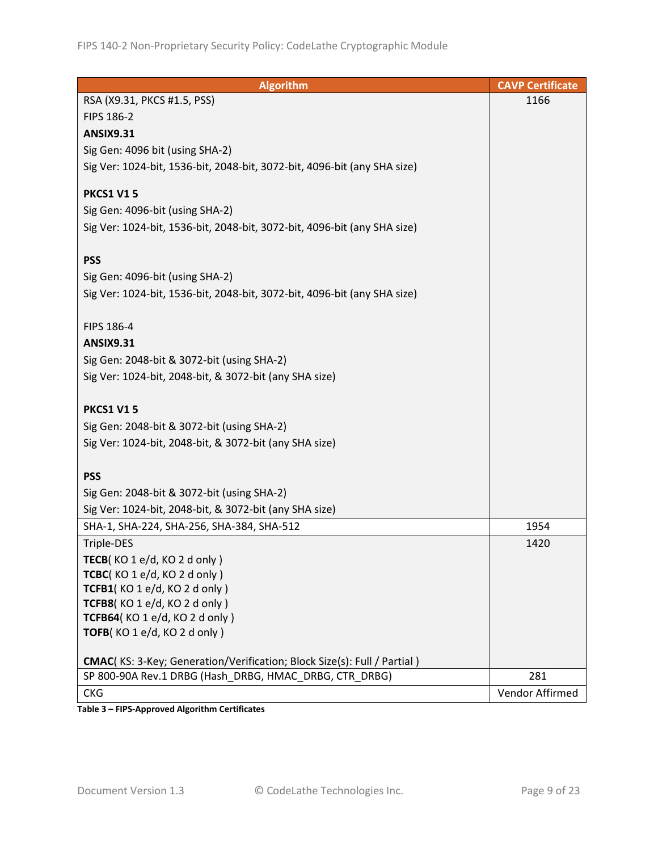| <b>Algorithm</b>                                                         | <b>CAVP Certificate</b> |
|--------------------------------------------------------------------------|-------------------------|
| RSA (X9.31, PKCS #1.5, PSS)                                              | 1166                    |
| FIPS 186-2                                                               |                         |
| <b>ANSIX9.31</b>                                                         |                         |
| Sig Gen: 4096 bit (using SHA-2)                                          |                         |
| Sig Ver: 1024-bit, 1536-bit, 2048-bit, 3072-bit, 4096-bit (any SHA size) |                         |
|                                                                          |                         |
| <b>PKCS1 V15</b>                                                         |                         |
| Sig Gen: 4096-bit (using SHA-2)                                          |                         |
| Sig Ver: 1024-bit, 1536-bit, 2048-bit, 3072-bit, 4096-bit (any SHA size) |                         |
|                                                                          |                         |
| <b>PSS</b>                                                               |                         |
| Sig Gen: 4096-bit (using SHA-2)                                          |                         |
| Sig Ver: 1024-bit, 1536-bit, 2048-bit, 3072-bit, 4096-bit (any SHA size) |                         |
|                                                                          |                         |
| FIPS 186-4                                                               |                         |
| <b>ANSIX9.31</b>                                                         |                         |
| Sig Gen: 2048-bit & 3072-bit (using SHA-2)                               |                         |
| Sig Ver: 1024-bit, 2048-bit, & 3072-bit (any SHA size)                   |                         |
|                                                                          |                         |
| <b>PKCS1 V15</b>                                                         |                         |
| Sig Gen: 2048-bit & 3072-bit (using SHA-2)                               |                         |
| Sig Ver: 1024-bit, 2048-bit, & 3072-bit (any SHA size)                   |                         |
|                                                                          |                         |
| <b>PSS</b>                                                               |                         |
| Sig Gen: 2048-bit & 3072-bit (using SHA-2)                               |                         |
| Sig Ver: 1024-bit, 2048-bit, & 3072-bit (any SHA size)                   |                         |
| SHA-1, SHA-224, SHA-256, SHA-384, SHA-512                                | 1954                    |
| Triple-DES                                                               | 1420                    |
| TECB(KO 1 e/d, KO 2 d only)                                              |                         |
| TCBC(KO1e/d, KO2donly)                                                   |                         |
| TCFB1(KO1e/d, KO2donly)                                                  |                         |
| TCFB8(KO1e/d, KO2donly)                                                  |                         |
| TCFB64(KO 1 e/d, KO 2 d only)                                            |                         |
| TOFB(KO 1 e/d, KO 2 d only)                                              |                         |
|                                                                          |                         |
| CMAC(KS: 3-Key; Generation/Verification; Block Size(s): Full / Partial)  |                         |
| SP 800-90A Rev.1 DRBG (Hash DRBG, HMAC DRBG, CTR DRBG)                   | 281                     |
| <b>CKG</b>                                                               | Vendor Affirmed         |

**Table 3 – FIPS-Approved Algorithm Certificates**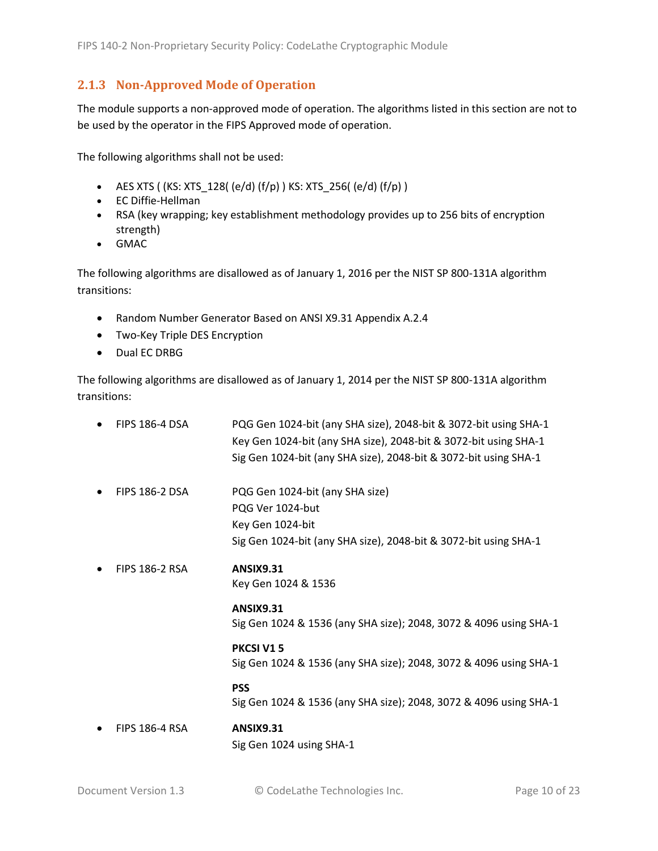### <span id="page-9-0"></span>**2.1.3 Non-Approved Mode of Operation**

The module supports a non-approved mode of operation. The algorithms listed in this section are not to be used by the operator in the FIPS Approved mode of operation.

The following algorithms shall not be used:

- AES XTS (  $(KS: XTS_128$  (  $(e/d)$   $(f/p)$  )  $KS: XTS_256$  (  $(e/d)$   $(f/p)$  )
- EC Diffie-Hellman
- RSA (key wrapping; key establishment methodology provides up to 256 bits of encryption strength)
- GMAC

The following algorithms are disallowed as of January 1, 2016 per the NIST SP 800-131A algorithm transitions:

- Random Number Generator Based on ANSI X9.31 Appendix A.2.4
- Two-Key Triple DES Encryption
- Dual EC DRBG

The following algorithms are disallowed as of January 1, 2014 per the NIST SP 800-131A algorithm transitions:

| <b>FIPS 186-4 DSA</b> | PQG Gen 1024-bit (any SHA size), 2048-bit & 3072-bit using SHA-1<br>Key Gen 1024-bit (any SHA size), 2048-bit & 3072-bit using SHA-1<br>Sig Gen 1024-bit (any SHA size), 2048-bit & 3072-bit using SHA-1 |
|-----------------------|----------------------------------------------------------------------------------------------------------------------------------------------------------------------------------------------------------|
| <b>FIPS 186-2 DSA</b> | PQG Gen 1024-bit (any SHA size)<br>PQG Ver 1024-but<br>Key Gen 1024-bit<br>Sig Gen 1024-bit (any SHA size), 2048-bit & 3072-bit using SHA-1                                                              |
| <b>FIPS 186-2 RSA</b> | <b>ANSIX9.31</b><br>Key Gen 1024 & 1536                                                                                                                                                                  |
|                       | <b>ANSIX9.31</b><br>Sig Gen 1024 & 1536 (any SHA size); 2048, 3072 & 4096 using SHA-1                                                                                                                    |
|                       | <b>PKCSI V15</b><br>Sig Gen 1024 & 1536 (any SHA size); 2048, 3072 & 4096 using SHA-1                                                                                                                    |
|                       | <b>PSS</b><br>Sig Gen 1024 & 1536 (any SHA size); 2048, 3072 & 4096 using SHA-1                                                                                                                          |
| <b>FIPS 186-4 RSA</b> | <b>ANSIX9.31</b><br>Sig Gen 1024 using SHA-1                                                                                                                                                             |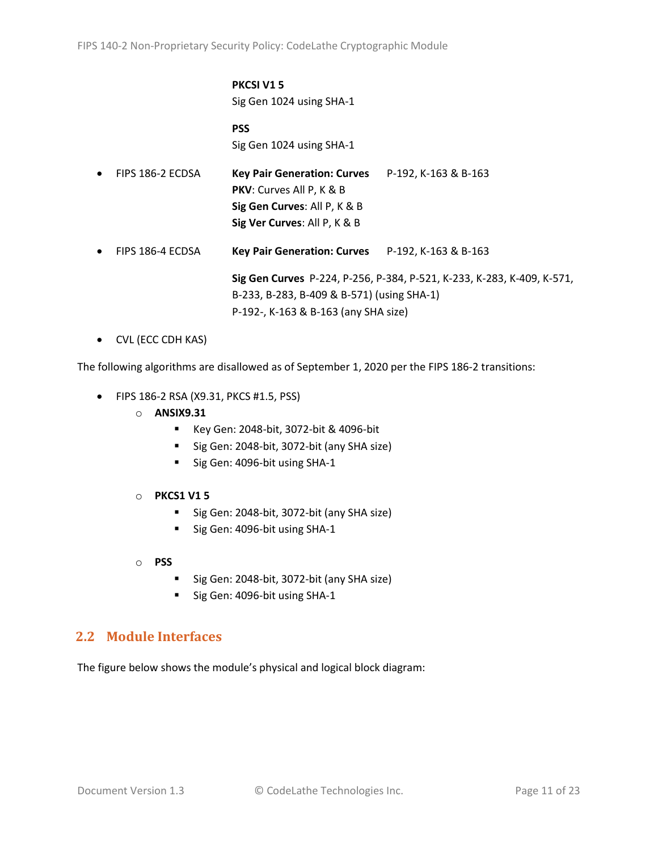#### **PKCSI V1 5** Sig Gen 1024 using SHA-1

**PSS** Sig Gen 1024 using SHA-1

| $\bullet$ | FIPS 186-2 ECDSA | <b>Key Pair Generation: Curves</b><br><b>PKV:</b> Curves All P, K & B<br>Sig Gen Curves: All P, K & B<br>Sig Ver Curves: All P, K & B | P-192, K-163 & B-163                                                   |
|-----------|------------------|---------------------------------------------------------------------------------------------------------------------------------------|------------------------------------------------------------------------|
| $\bullet$ | FIPS 186-4 ECDSA | <b>Key Pair Generation: Curves</b> $P-192$ , K-163 & B-163                                                                            |                                                                        |
|           |                  | B-233, B-283, B-409 & B-571) (using SHA-1)                                                                                            | Sig Gen Curves P-224, P-256, P-384, P-521, K-233, K-283, K-409, K-571, |

P-192-, K-163 & B-163 (any SHA size)

• CVL (ECC CDH KAS)

The following algorithms are disallowed as of September 1, 2020 per the FIPS 186-2 transitions:

- FIPS 186-2 RSA (X9.31, PKCS #1.5, PSS)
	- o **ANSIX9.31**
		- Key Gen: 2048-bit, 3072-bit & 4096-bit
		- Sig Gen: 2048-bit, 3072-bit (any SHA size)
		- Sig Gen: 4096-bit using SHA-1
	- o **PKCS1 V1 5**
		- Sig Gen: 2048-bit, 3072-bit (any SHA size)
		- Sig Gen: 4096-bit using SHA-1
	- o **PSS**
		- Sig Gen: 2048-bit, 3072-bit (any SHA size)
		- Sig Gen: 4096-bit using SHA-1

#### <span id="page-10-0"></span>**2.2 Module Interfaces**

The figure below shows the module's physical and logical block diagram: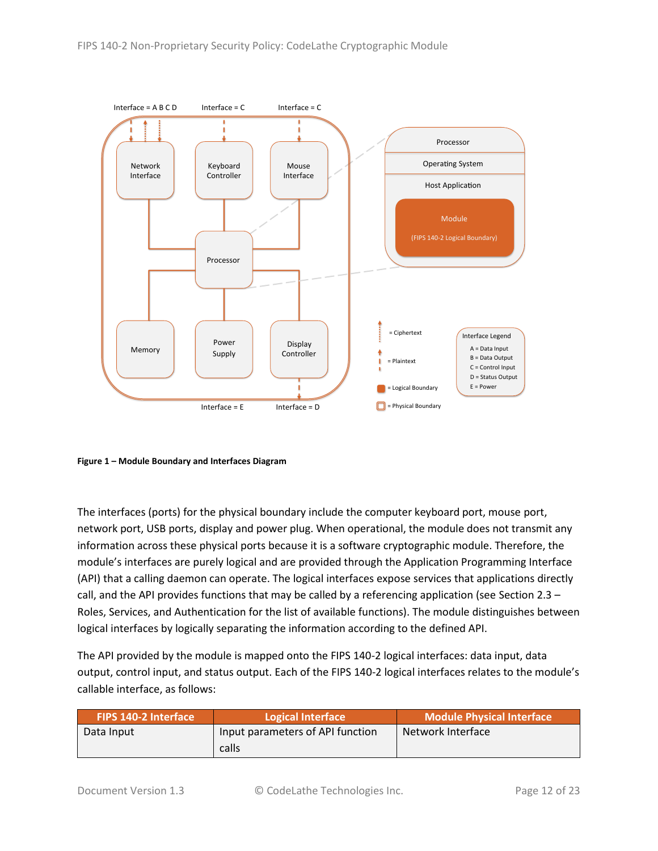

<span id="page-11-0"></span>**Figure 1 – Module Boundary and Interfaces Diagram**

The interfaces (ports) for the physical boundary include the computer keyboard port, mouse port, network port, USB ports, display and power plug. When operational, the module does not transmit any information across these physical ports because it is a software cryptographic module. Therefore, the module's interfaces are purely logical and are provided through the Application Programming Interface (API) that a calling daemon can operate. The logical interfaces expose services that applications directly call, and the API provides functions that may be called by a referencing application (see Sectio[n 2.3](#page-12-0) – [Roles, Services, and Authentication](#page-12-0) for the list of available functions). The module distinguishes between logical interfaces by logically separating the information according to the defined API.

The API provided by the module is mapped onto the FIPS 140-2 logical interfaces: data input, data output, control input, and status output. Each of the FIPS 140-2 logical interfaces relates to the module's callable interface, as follows:

| <b>FIPS 140-2 Interface</b> | Logical Interface                | Module Physical Interface |
|-----------------------------|----------------------------------|---------------------------|
| Data Input                  | Input parameters of API function | Network Interface         |
|                             | calls                            |                           |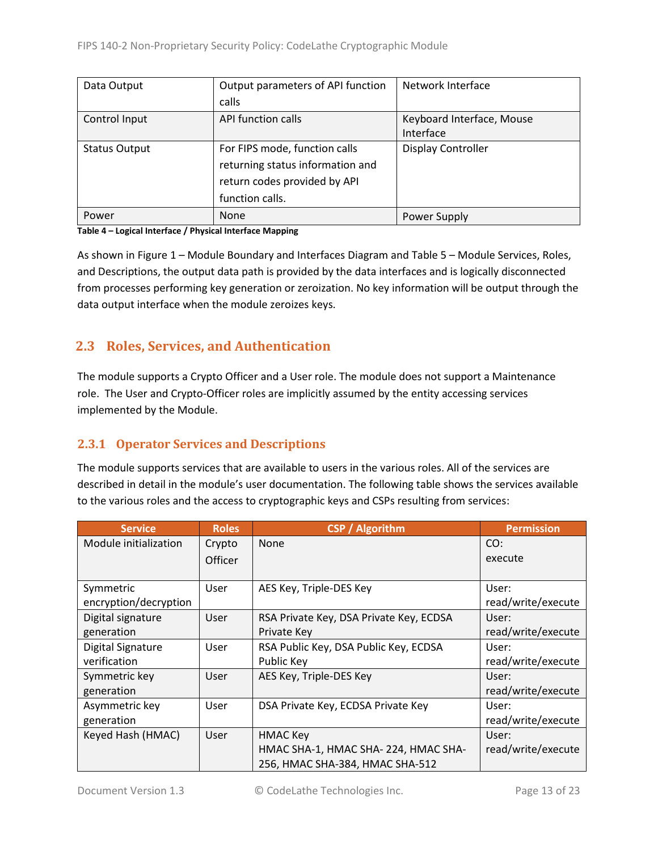| Data Output          | Output parameters of API function | Network Interface         |
|----------------------|-----------------------------------|---------------------------|
|                      | calls                             |                           |
| Control Input        | API function calls                | Keyboard Interface, Mouse |
|                      |                                   | Interface                 |
| <b>Status Output</b> | For FIPS mode, function calls     | <b>Display Controller</b> |
|                      | returning status information and  |                           |
|                      | return codes provided by API      |                           |
|                      | function calls.                   |                           |
| Power                | <b>None</b>                       | Power Supply              |

#### **Table 4 – Logical Interface / Physical Interface Mapping**

As shown in Figure 1 – [Module Boundary and Interfaces Diagram](#page-11-0) and Table 5 – Module [Services, Roles,](#page-13-3) [and Descriptions,](#page-13-3) the output data path is provided by the data interfaces and is logically disconnected from processes performing key generation or zeroization. No key information will be output through the data output interface when the module zeroizes keys.

# <span id="page-12-0"></span>**2.3 Roles, Services, and Authentication**

The module supports a Crypto Officer and a User role. The module does not support a Maintenance role. The User and Crypto-Officer roles are implicitly assumed by the entity accessing services implemented by the Module.

#### <span id="page-12-1"></span>**2.3.1 Operator Services and Descriptions**

The module supports services that are available to users in the various roles. All of the services are described in detail in the module's user documentation. The following table shows the services available to the various roles and the access to cryptographic keys and CSPs resulting from services:

| <b>Service</b>        | <b>Roles</b> | <b>CSP</b> / Algorithm                  | <b>Permission</b>  |
|-----------------------|--------------|-----------------------------------------|--------------------|
| Module initialization | Crypto       | None                                    | CO:                |
|                       | Officer      |                                         | execute            |
|                       |              |                                         |                    |
| Symmetric             | User         | AES Key, Triple-DES Key                 | User:              |
| encryption/decryption |              |                                         | read/write/execute |
| Digital signature     | User         | RSA Private Key, DSA Private Key, ECDSA | User:              |
| generation            |              | Private Key                             | read/write/execute |
| Digital Signature     | User         | RSA Public Key, DSA Public Key, ECDSA   | User:              |
| verification          |              | Public Key                              | read/write/execute |
| Symmetric key         | User         | AES Key, Triple-DES Key                 | User:              |
| generation            |              |                                         | read/write/execute |
| Asymmetric key        | User         | DSA Private Key, ECDSA Private Key      | User:              |
| generation            |              |                                         | read/write/execute |
| Keyed Hash (HMAC)     | User         | HMAC Key                                | User:              |
|                       |              | HMAC SHA-1, HMAC SHA-224, HMAC SHA-     | read/write/execute |
|                       |              | 256, HMAC SHA-384, HMAC SHA-512         |                    |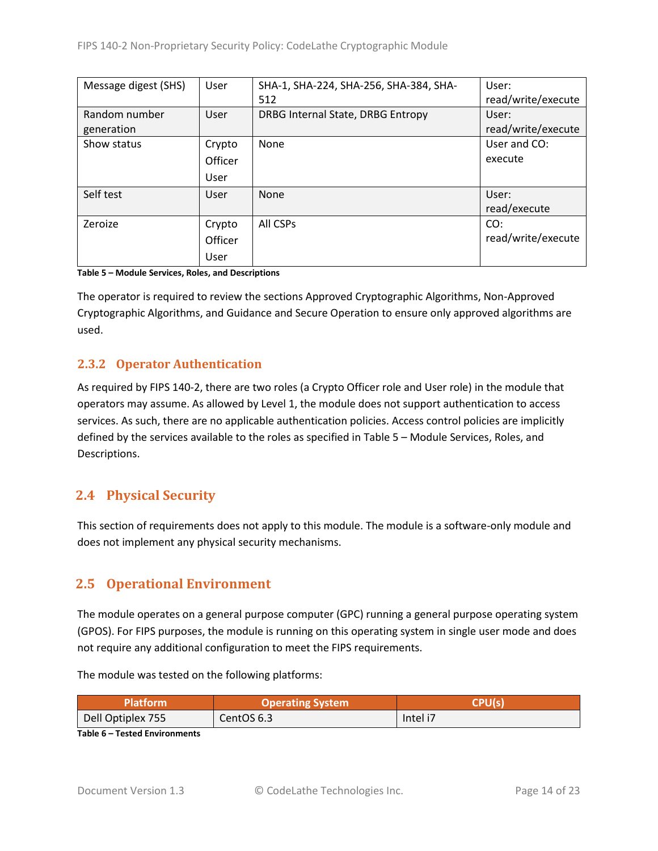| Message digest (SHS) | User    | SHA-1, SHA-224, SHA-256, SHA-384, SHA- | User:              |
|----------------------|---------|----------------------------------------|--------------------|
|                      |         | 512                                    | read/write/execute |
| Random number        | User    | DRBG Internal State, DRBG Entropy      | User:              |
| generation           |         |                                        | read/write/execute |
| Show status          | Crypto  | None                                   | User and CO:       |
|                      | Officer |                                        | execute            |
|                      | User    |                                        |                    |
| Self test            | User    | None                                   | User:              |
|                      |         |                                        | read/execute       |
| Zeroize              | Crypto  | All CSPs                               | CO:                |
|                      | Officer |                                        | read/write/execute |
|                      | User    |                                        |                    |

<span id="page-13-3"></span>**Table 5 – Module Services, Roles, and Descriptions**

The operator is required to review the sections Approved Cryptographic Algorithms, Non-Approved Cryptographic Algorithms, and Guidance and Secure Operation to ensure only approved algorithms are used.

### <span id="page-13-0"></span>**2.3.2 Operator Authentication**

As required by FIPS 140-2, there are two roles (a Crypto Officer role and User role) in the module that operators may assume. As allowed by Level 1, the module does not support authentication to access services. As such, there are no applicable authentication policies. Access control policies are implicitly defined by the services available to the roles as specified in Table 5 – Module [Services, Roles,](#page-13-3) and [Descriptions.](#page-13-3)

# <span id="page-13-1"></span>**2.4 Physical Security**

This section of requirements does not apply to this module. The module is a software-only module and does not implement any physical security mechanisms.

# <span id="page-13-2"></span>**2.5 Operational Environment**

The module operates on a general purpose computer (GPC) running a general purpose operating system (GPOS). For FIPS purposes, the module is running on this operating system in single user mode and does not require any additional configuration to meet the FIPS requirements.

The module was tested on the following platforms:

| Platform          | <b>Operating System</b> | <b>CPHIG</b> |
|-------------------|-------------------------|--------------|
| Dell Optiplex 755 | CentOS 6.3              | Intel i7     |

**Table 6 – Tested Environments**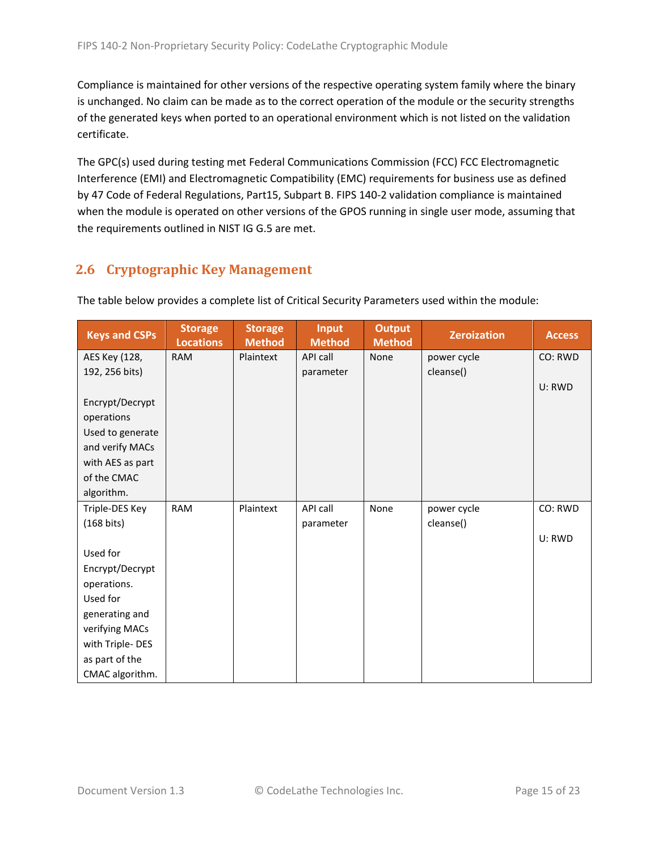Compliance is maintained for other versions of the respective operating system family where the binary is unchanged. No claim can be made as to the correct operation of the module or the security strengths of the generated keys when ported to an operational environment which is not listed on the validation certificate.

The GPC(s) used during testing met Federal Communications Commission (FCC) FCC Electromagnetic Interference (EMI) and Electromagnetic Compatibility (EMC) requirements for business use as defined by 47 Code of Federal Regulations, Part15, Subpart B. FIPS 140-2 validation compliance is maintained when the module is operated on other versions of the GPOS running in single user mode, assuming that the requirements outlined in NIST IG G.5 are met.

# <span id="page-14-0"></span>**2.6 Cryptographic Key Management**

| <b>Keys and CSPs</b> | <b>Storage</b><br><b>Locations</b> | <b>Storage</b><br><b>Method</b> | <b>Input</b><br><b>Method</b> | <b>Output</b><br><b>Method</b> | <b>Zeroization</b> | <b>Access</b> |
|----------------------|------------------------------------|---------------------------------|-------------------------------|--------------------------------|--------------------|---------------|
| AES Key (128,        | <b>RAM</b>                         | Plaintext                       | API call                      | None                           | power cycle        | CO: RWD       |
| 192, 256 bits)       |                                    |                                 | parameter                     |                                | cleanse()          |               |
|                      |                                    |                                 |                               |                                |                    | U: RWD        |
| Encrypt/Decrypt      |                                    |                                 |                               |                                |                    |               |
| operations           |                                    |                                 |                               |                                |                    |               |
| Used to generate     |                                    |                                 |                               |                                |                    |               |
| and verify MACs      |                                    |                                 |                               |                                |                    |               |
| with AES as part     |                                    |                                 |                               |                                |                    |               |
| of the CMAC          |                                    |                                 |                               |                                |                    |               |
| algorithm.           |                                    |                                 |                               |                                |                    |               |
| Triple-DES Key       | <b>RAM</b>                         | Plaintext                       | API call                      | None                           | power cycle        | CO: RWD       |
| $(168 \text{ bits})$ |                                    |                                 | parameter                     |                                | cleanse()          |               |
|                      |                                    |                                 |                               |                                |                    | U: RWD        |
| Used for             |                                    |                                 |                               |                                |                    |               |
| Encrypt/Decrypt      |                                    |                                 |                               |                                |                    |               |
| operations.          |                                    |                                 |                               |                                |                    |               |
| Used for             |                                    |                                 |                               |                                |                    |               |
| generating and       |                                    |                                 |                               |                                |                    |               |
| verifying MACs       |                                    |                                 |                               |                                |                    |               |
| with Triple-DES      |                                    |                                 |                               |                                |                    |               |
| as part of the       |                                    |                                 |                               |                                |                    |               |
| CMAC algorithm.      |                                    |                                 |                               |                                |                    |               |

The table below provides a complete list of Critical Security Parameters used within the module: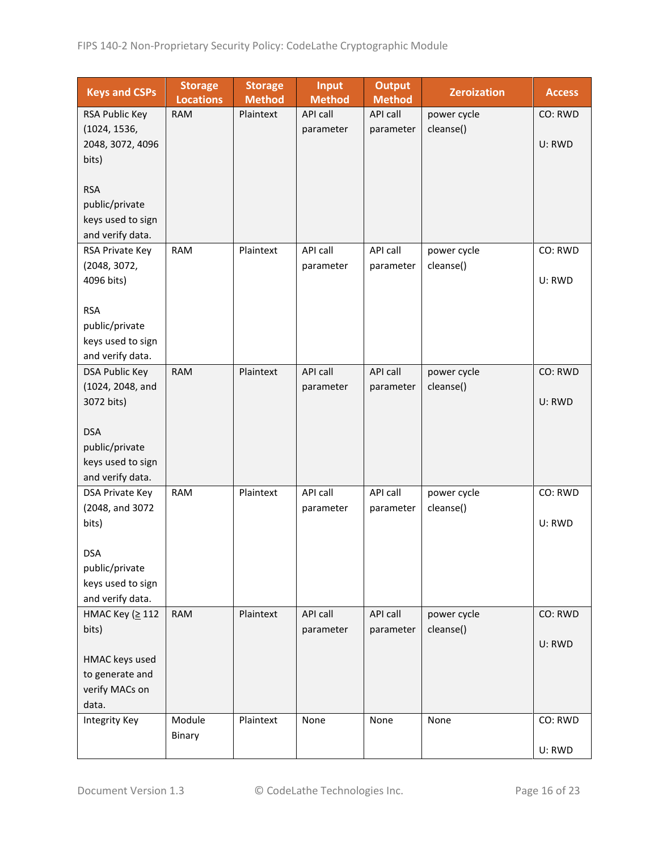| <b>Keys and CSPs</b>                  | <b>Storage</b><br><b>Locations</b> | <b>Storage</b><br><b>Method</b> | <b>Input</b><br><b>Method</b> | <b>Output</b><br><b>Method</b> | <b>Zeroization</b> | <b>Access</b> |
|---------------------------------------|------------------------------------|---------------------------------|-------------------------------|--------------------------------|--------------------|---------------|
| RSA Public Key                        | <b>RAM</b>                         | Plaintext                       | <b>API call</b>               | API call                       | power cycle        | CO: RWD       |
| (1024, 1536,                          |                                    |                                 | parameter                     | parameter                      | cleanse()          |               |
| 2048, 3072, 4096                      |                                    |                                 |                               |                                |                    | U: RWD        |
| bits)                                 |                                    |                                 |                               |                                |                    |               |
|                                       |                                    |                                 |                               |                                |                    |               |
| <b>RSA</b>                            |                                    |                                 |                               |                                |                    |               |
| public/private                        |                                    |                                 |                               |                                |                    |               |
| keys used to sign                     |                                    |                                 |                               |                                |                    |               |
| and verify data.                      |                                    |                                 |                               |                                |                    |               |
| RSA Private Key                       | <b>RAM</b>                         | Plaintext                       | API call                      | API call                       | power cycle        | CO: RWD       |
| (2048, 3072,                          |                                    |                                 | parameter                     | parameter                      | cleanse()          |               |
| 4096 bits)                            |                                    |                                 |                               |                                |                    | U: RWD        |
|                                       |                                    |                                 |                               |                                |                    |               |
| <b>RSA</b>                            |                                    |                                 |                               |                                |                    |               |
| public/private                        |                                    |                                 |                               |                                |                    |               |
| keys used to sign<br>and verify data. |                                    |                                 |                               |                                |                    |               |
| <b>DSA Public Key</b>                 | <b>RAM</b>                         | Plaintext                       | <b>API call</b>               | API call                       | power cycle        | CO: RWD       |
| (1024, 2048, and                      |                                    |                                 | parameter                     | parameter                      | cleanse()          |               |
| 3072 bits)                            |                                    |                                 |                               |                                |                    | U: RWD        |
|                                       |                                    |                                 |                               |                                |                    |               |
| <b>DSA</b>                            |                                    |                                 |                               |                                |                    |               |
| public/private                        |                                    |                                 |                               |                                |                    |               |
| keys used to sign                     |                                    |                                 |                               |                                |                    |               |
| and verify data.                      |                                    |                                 |                               |                                |                    |               |
| DSA Private Key                       | <b>RAM</b>                         | Plaintext                       | API call                      | API call                       | power cycle        | CO: RWD       |
| (2048, and 3072                       |                                    |                                 | parameter                     | parameter                      | cleanse()          |               |
| bits)                                 |                                    |                                 |                               |                                |                    | U: RWD        |
|                                       |                                    |                                 |                               |                                |                    |               |
| <b>DSA</b>                            |                                    |                                 |                               |                                |                    |               |
| public/private                        |                                    |                                 |                               |                                |                    |               |
| keys used to sign                     |                                    |                                 |                               |                                |                    |               |
| and verify data.                      |                                    |                                 |                               |                                |                    |               |
| HMAC Key (≥ 112                       | <b>RAM</b>                         | Plaintext                       | API call                      | API call                       | power cycle        | CO: RWD       |
| bits)                                 |                                    |                                 | parameter                     | parameter                      | cleanse()          |               |
|                                       |                                    |                                 |                               |                                |                    | U: RWD        |
| HMAC keys used<br>to generate and     |                                    |                                 |                               |                                |                    |               |
| verify MACs on                        |                                    |                                 |                               |                                |                    |               |
| data.                                 |                                    |                                 |                               |                                |                    |               |
| <b>Integrity Key</b>                  | Module                             | Plaintext                       | None                          | None                           | None               | CO: RWD       |
|                                       | Binary                             |                                 |                               |                                |                    |               |
|                                       |                                    |                                 |                               |                                |                    | U: RWD        |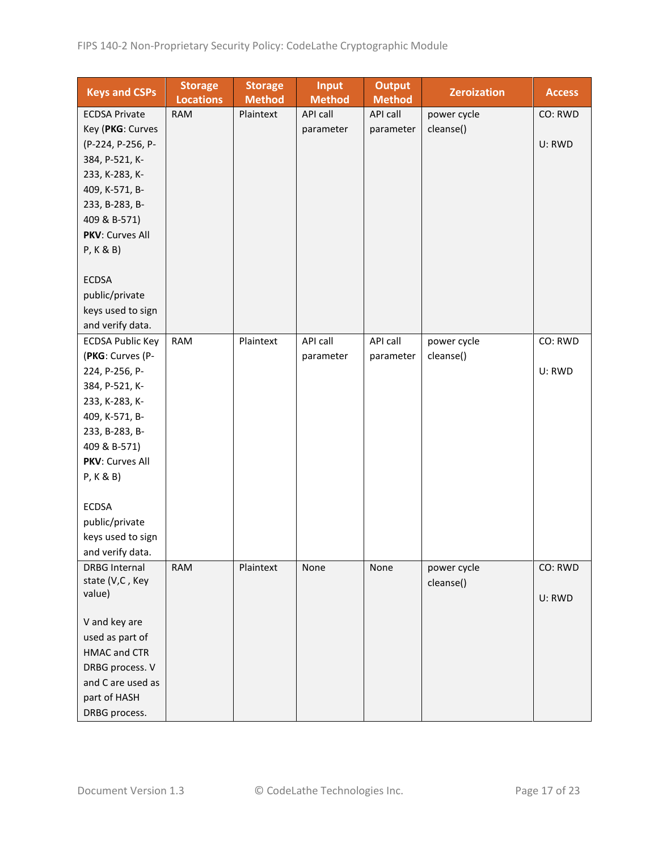| <b>Keys and CSPs</b>    | <b>Storage</b><br><b>Locations</b> | <b>Storage</b><br><b>Method</b> | <b>Input</b><br><b>Method</b> | <b>Output</b><br><b>Method</b> | <b>Zeroization</b> | <b>Access</b> |
|-------------------------|------------------------------------|---------------------------------|-------------------------------|--------------------------------|--------------------|---------------|
| <b>ECDSA Private</b>    | <b>RAM</b>                         | Plaintext                       | <b>API call</b>               | API call                       | power cycle        | CO: RWD       |
| Key (PKG: Curves        |                                    |                                 | parameter                     | parameter                      | cleanse()          |               |
| (P-224, P-256, P-       |                                    |                                 |                               |                                |                    | U: RWD        |
| 384, P-521, K-          |                                    |                                 |                               |                                |                    |               |
| 233, K-283, K-          |                                    |                                 |                               |                                |                    |               |
| 409, K-571, B-          |                                    |                                 |                               |                                |                    |               |
| 233, B-283, B-          |                                    |                                 |                               |                                |                    |               |
| 409 & B-571)            |                                    |                                 |                               |                                |                    |               |
| PKV: Curves All         |                                    |                                 |                               |                                |                    |               |
| P, K & B                |                                    |                                 |                               |                                |                    |               |
|                         |                                    |                                 |                               |                                |                    |               |
| <b>ECDSA</b>            |                                    |                                 |                               |                                |                    |               |
| public/private          |                                    |                                 |                               |                                |                    |               |
| keys used to sign       |                                    |                                 |                               |                                |                    |               |
| and verify data.        |                                    |                                 |                               |                                |                    |               |
| <b>ECDSA Public Key</b> | <b>RAM</b>                         | Plaintext                       | API call                      | API call                       | power cycle        | CO: RWD       |
| (PKG: Curves (P-        |                                    |                                 | parameter                     | parameter                      | cleanse()          |               |
| 224, P-256, P-          |                                    |                                 |                               |                                |                    | U: RWD        |
| 384, P-521, K-          |                                    |                                 |                               |                                |                    |               |
| 233, K-283, K-          |                                    |                                 |                               |                                |                    |               |
| 409, K-571, B-          |                                    |                                 |                               |                                |                    |               |
| 233, B-283, B-          |                                    |                                 |                               |                                |                    |               |
| 409 & B-571)            |                                    |                                 |                               |                                |                    |               |
| PKV: Curves All         |                                    |                                 |                               |                                |                    |               |
| P, K & B)               |                                    |                                 |                               |                                |                    |               |
|                         |                                    |                                 |                               |                                |                    |               |
| <b>ECDSA</b>            |                                    |                                 |                               |                                |                    |               |
| public/private          |                                    |                                 |                               |                                |                    |               |
| keys used to sign       |                                    |                                 |                               |                                |                    |               |
| and verify data.        |                                    |                                 |                               |                                |                    |               |
| <b>DRBG Internal</b>    | <b>RAM</b>                         | Plaintext                       | None                          | None                           | power cycle        | CO: RWD       |
| state (V,C, Key         |                                    |                                 |                               |                                | cleanse()          |               |
| value)                  |                                    |                                 |                               |                                |                    | U: RWD        |
|                         |                                    |                                 |                               |                                |                    |               |
| V and key are           |                                    |                                 |                               |                                |                    |               |
| used as part of         |                                    |                                 |                               |                                |                    |               |
| HMAC and CTR            |                                    |                                 |                               |                                |                    |               |
| DRBG process. V         |                                    |                                 |                               |                                |                    |               |
| and C are used as       |                                    |                                 |                               |                                |                    |               |
| part of HASH            |                                    |                                 |                               |                                |                    |               |
| DRBG process.           |                                    |                                 |                               |                                |                    |               |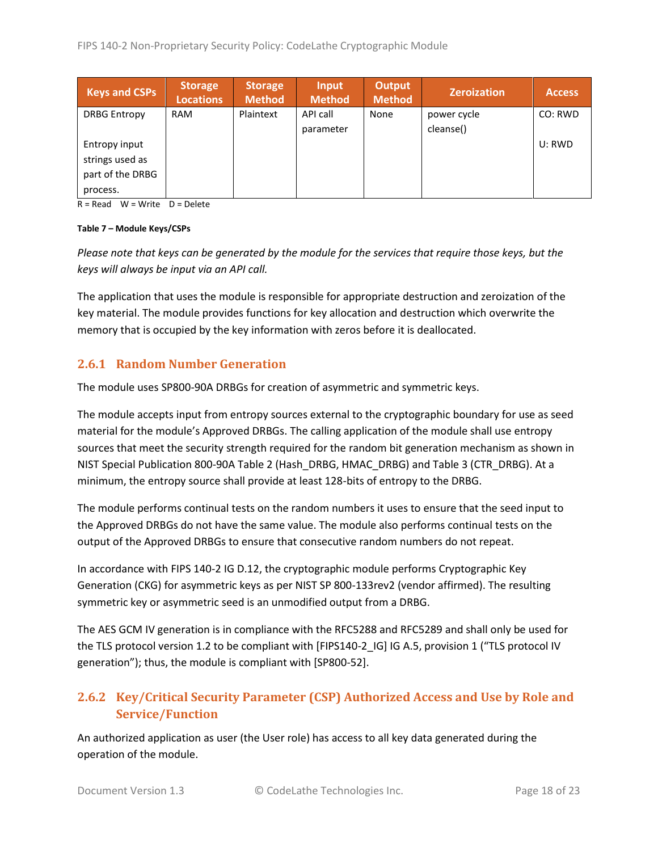| <b>Keys and CSPs</b> | <b>Storage</b><br><b>Locations</b> | <b>Storage</b><br>Method | Input<br><b>Method</b> | <b>Output</b><br><b>Method</b> | <b>Zeroization</b> | <b>Access</b> |
|----------------------|------------------------------------|--------------------------|------------------------|--------------------------------|--------------------|---------------|
| <b>DRBG Entropy</b>  | <b>RAM</b>                         | Plaintext                | API call               | None                           | power cycle        | CO: RWD       |
|                      |                                    |                          | parameter              |                                | cleanse()          |               |
| Entropy input        |                                    |                          |                        |                                |                    | U: RWD        |
| strings used as      |                                    |                          |                        |                                |                    |               |
| part of the DRBG     |                                    |                          |                        |                                |                    |               |
| process.             |                                    |                          |                        |                                |                    |               |

 $R = Read$  W = Write D = Delete

#### **Table 7 – Module Keys/CSPs**

*Please note that keys can be generated by the module for the services that require those keys, but the keys will always be input via an API call.*

The application that uses the module is responsible for appropriate destruction and zeroization of the key material. The module provides functions for key allocation and destruction which overwrite the memory that is occupied by the key information with zeros before it is deallocated.

#### <span id="page-17-0"></span>**2.6.1 Random Number Generation**

The module uses SP800-90A DRBGs for creation of asymmetric and symmetric keys.

The module accepts input from entropy sources external to the cryptographic boundary for use as seed material for the module's Approved DRBGs. The calling application of the module shall use entropy sources that meet the security strength required for the random bit generation mechanism as shown in NIST Special Publication 800-90A Table 2 (Hash\_DRBG, HMAC\_DRBG) and Table 3 (CTR\_DRBG). At a minimum, the entropy source shall provide at least 128-bits of entropy to the DRBG.

The module performs continual tests on the random numbers it uses to ensure that the seed input to the Approved DRBGs do not have the same value. The module also performs continual tests on the output of the Approved DRBGs to ensure that consecutive random numbers do not repeat.

In accordance with FIPS 140-2 IG D.12, the cryptographic module performs Cryptographic Key Generation (CKG) for asymmetric keys as per NIST SP 800-133rev2 (vendor affirmed). The resulting symmetric key or asymmetric seed is an unmodified output from a DRBG.

The AES GCM IV generation is in compliance with the RFC5288 and RFC5289 and shall only be used for the TLS protocol version 1.2 to be compliant with [FIPS140-2\_IG] IG A.5, provision 1 ("TLS protocol IV generation"); thus, the module is compliant with [SP800-52].

# <span id="page-17-1"></span>**2.6.2 Key/Critical Security Parameter (CSP) Authorized Access and Use by Role and Service/Function**

An authorized application as user (the User role) has access to all key data generated during the operation of the module.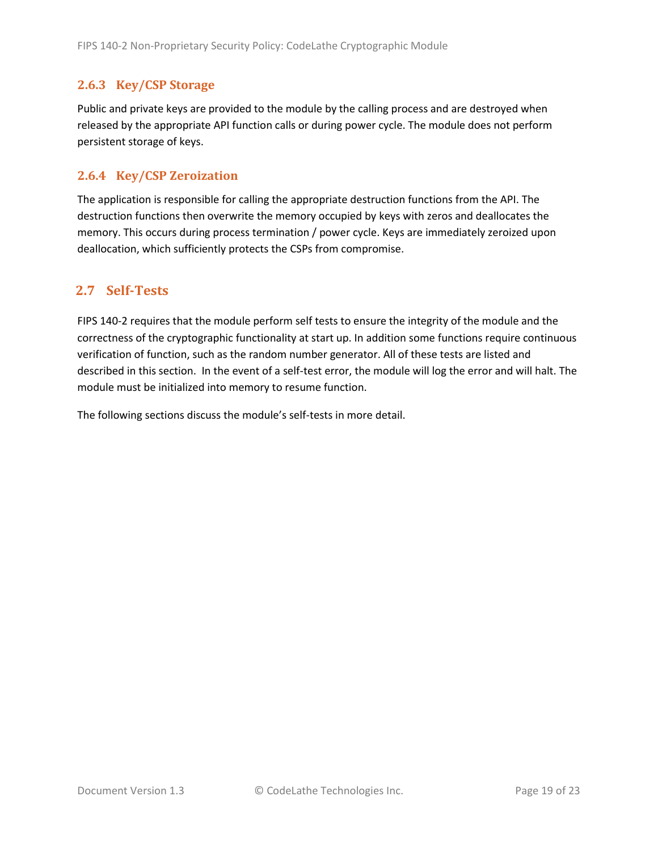#### <span id="page-18-0"></span>**2.6.3 Key/CSP Storage**

Public and private keys are provided to the module by the calling process and are destroyed when released by the appropriate API function calls or during power cycle. The module does not perform persistent storage of keys.

#### <span id="page-18-1"></span>**2.6.4 Key/CSP Zeroization**

The application is responsible for calling the appropriate destruction functions from the API. The destruction functions then overwrite the memory occupied by keys with zeros and deallocates the memory. This occurs during process termination / power cycle. Keys are immediately zeroized upon deallocation, which sufficiently protects the CSPs from compromise.

### <span id="page-18-2"></span>**2.7 Self-Tests**

FIPS 140-2 requires that the module perform self tests to ensure the integrity of the module and the correctness of the cryptographic functionality at start up. In addition some functions require continuous verification of function, such as the random number generator. All of these tests are listed and described in this section. In the event of a self-test error, the module will log the error and will halt. The module must be initialized into memory to resume function.

The following sections discuss the module's self-tests in more detail.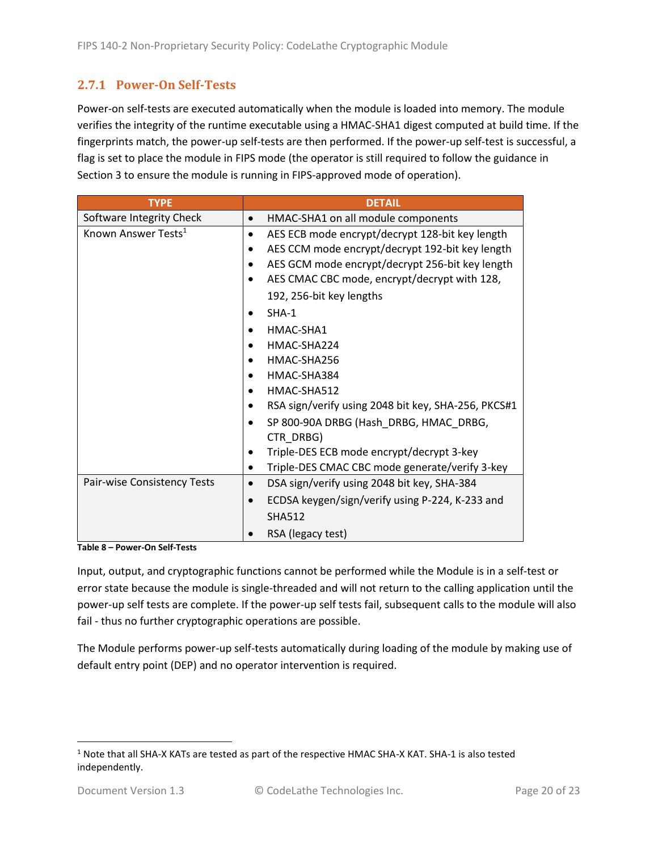## <span id="page-19-0"></span>**2.7.1 Power-On Self-Tests**

Power-on self-tests are executed automatically when the module is loaded into memory. The module verifies the integrity of the runtime executable using a HMAC-SHA1 digest computed at build time. If the fingerprints match, the power-up self-tests are then performed. If the power-up self-test is successful, a flag is set to place the module in FIPS mode (the operator is still required to follow the guidance in Section 3 to ensure the module is running in FIPS-approved mode of operation).

| <b>TYPE</b>                     | <b>DETAIL</b>                                            |
|---------------------------------|----------------------------------------------------------|
| Software Integrity Check        | HMAC-SHA1 on all module components<br>$\bullet$          |
| Known Answer Tests <sup>1</sup> | AES ECB mode encrypt/decrypt 128-bit key length          |
|                                 | AES CCM mode encrypt/decrypt 192-bit key length          |
|                                 | AES GCM mode encrypt/decrypt 256-bit key length          |
|                                 | AES CMAC CBC mode, encrypt/decrypt with 128,             |
|                                 | 192, 256-bit key lengths                                 |
|                                 | $SHA-1$                                                  |
|                                 | HMAC-SHA1                                                |
|                                 | HMAC-SHA224<br>$\bullet$                                 |
|                                 | HMAC-SHA256                                              |
|                                 | HMAC-SHA384                                              |
|                                 | HMAC-SHA512                                              |
|                                 | RSA sign/verify using 2048 bit key, SHA-256, PKCS#1      |
|                                 | SP 800-90A DRBG (Hash_DRBG, HMAC_DRBG,                   |
|                                 | CTR_DRBG)                                                |
|                                 | Triple-DES ECB mode encrypt/decrypt 3-key                |
|                                 | Triple-DES CMAC CBC mode generate/verify 3-key           |
| Pair-wise Consistency Tests     | DSA sign/verify using 2048 bit key, SHA-384<br>$\bullet$ |
|                                 | ECDSA keygen/sign/verify using P-224, K-233 and          |
|                                 | <b>SHA512</b>                                            |
|                                 | RSA (legacy test)                                        |

**Table 8 – Power-On Self-Tests**

Input, output, and cryptographic functions cannot be performed while the Module is in a self-test or error state because the module is single-threaded and will not return to the calling application until the power-up self tests are complete. If the power-up self tests fail, subsequent calls to the module will also fail - thus no further cryptographic operations are possible.

The Module performs power-up self-tests automatically during loading of the module by making use of default entry point (DEP) and no operator intervention is required.

<sup>1</sup> Note that all SHA-X KATs are tested as part of the respective HMAC SHA-X KAT. SHA-1 is also tested independently.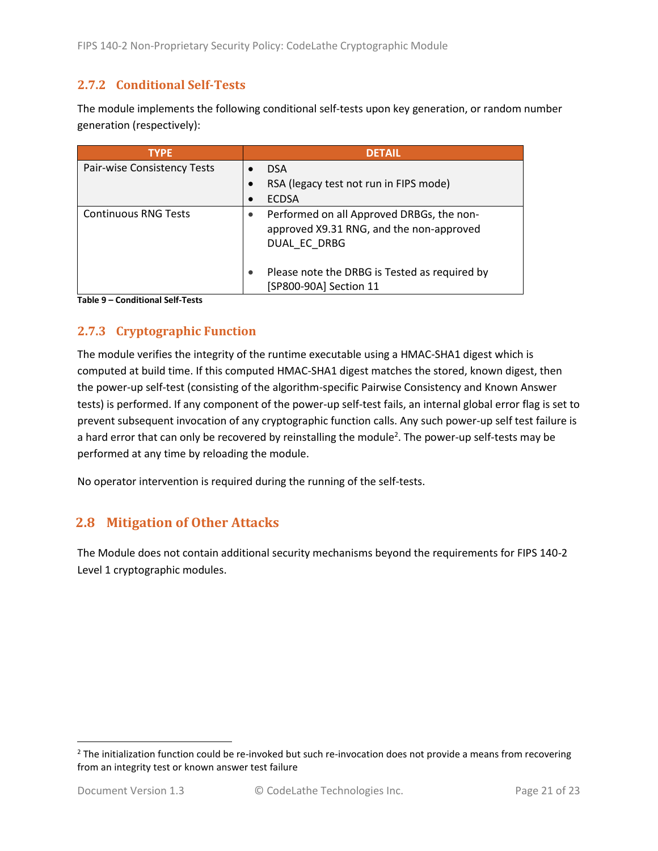### <span id="page-20-0"></span>**2.7.2 Conditional Self-Tests**

The module implements the following conditional self-tests upon key generation, or random number generation (respectively):

| <b>TYPE</b>                 | <b>DETAIL</b>                                                                                         |
|-----------------------------|-------------------------------------------------------------------------------------------------------|
| Pair-wise Consistency Tests | <b>DSA</b>                                                                                            |
|                             | RSA (legacy test not run in FIPS mode)                                                                |
|                             | <b>ECDSA</b>                                                                                          |
| <b>Continuous RNG Tests</b> | Performed on all Approved DRBGs, the non-<br>approved X9.31 RNG, and the non-approved<br>DUAL EC DRBG |
|                             | Please note the DRBG is Tested as required by<br>[SP800-90A] Section 11                               |

**Table 9 – Conditional Self-Tests**

## <span id="page-20-1"></span>**2.7.3 Cryptographic Function**

The module verifies the integrity of the runtime executable using a HMAC-SHA1 digest which is computed at build time. If this computed HMAC-SHA1 digest matches the stored, known digest, then the power-up self-test (consisting of the algorithm-specific Pairwise Consistency and Known Answer tests) is performed. If any component of the power-up self-test fails, an internal global error flag is set to prevent subsequent invocation of any cryptographic function calls. Any such power-up self test failure is a hard error that can only be recovered by reinstalling the module<sup>2</sup>. The power-up self-tests may be performed at any time by reloading the module.

No operator intervention is required during the running of the self-tests.

## <span id="page-20-2"></span>**2.8 Mitigation of Other Attacks**

The Module does not contain additional security mechanisms beyond the requirements for FIPS 140-2 Level 1 cryptographic modules.

 $2$  The initialization function could be re-invoked but such re-invocation does not provide a means from recovering from an integrity test or known answer test failure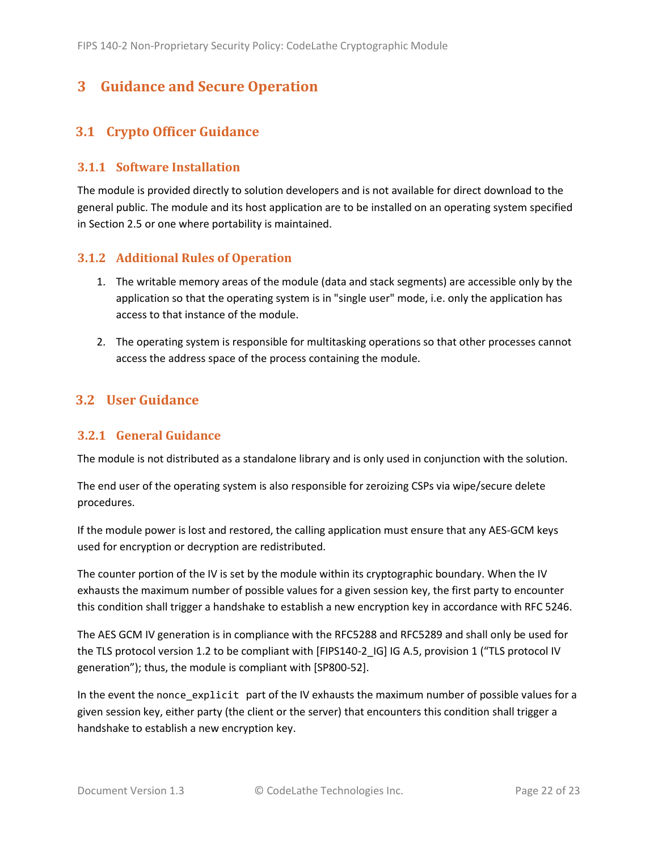# <span id="page-21-0"></span>**3 Guidance and Secure Operation**

## <span id="page-21-1"></span>**3.1 Crypto Officer Guidance**

#### <span id="page-21-2"></span>**3.1.1 Software Installation**

The module is provided directly to solution developers and is not available for direct download to the general public. The module and its host application are to be installed on an operating system specified in Section [2.5](#page-13-2) or one where portability is maintained.

#### <span id="page-21-3"></span>**3.1.2 Additional Rules of Operation**

- 1. The writable memory areas of the module (data and stack segments) are accessible only by the application so that the operating system is in "single user" mode, i.e. only the application has access to that instance of the module.
- 2. The operating system is responsible for multitasking operations so that other processes cannot access the address space of the process containing the module.

#### <span id="page-21-4"></span>**3.2 User Guidance**

#### <span id="page-21-5"></span>**3.2.1 General Guidance**

The module is not distributed as a standalone library and is only used in conjunction with the solution.

The end user of the operating system is also responsible for zeroizing CSPs via wipe/secure delete procedures.

If the module power is lost and restored, the calling application must ensure that any AES-GCM keys used for encryption or decryption are redistributed.

The counter portion of the IV is set by the module within its cryptographic boundary. When the IV exhausts the maximum number of possible values for a given session key, the first party to encounter this condition shall trigger a handshake to establish a new encryption key in accordance with RFC 5246.

The AES GCM IV generation is in compliance with the RFC5288 and RFC5289 and shall only be used for the TLS protocol version 1.2 to be compliant with [FIPS140-2 IG] IG A.5, provision 1 ("TLS protocol IV generation"); thus, the module is compliant with [SP800-52].

In the event the nonce\_explicit part of the IV exhausts the maximum number of possible values for a given session key, either party (the client or the server) that encounters this condition shall trigger a handshake to establish a new encryption key.